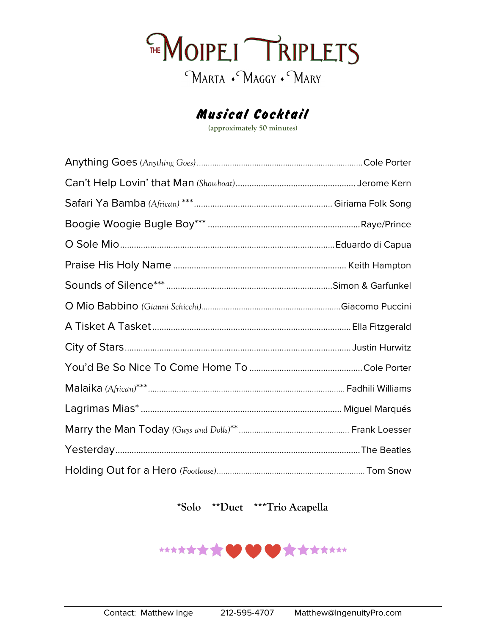

## Musical Cocktail

**(approximately 50 minutes)**

**\*Solo \*\*Duet \*\*\*Trio Acapella**

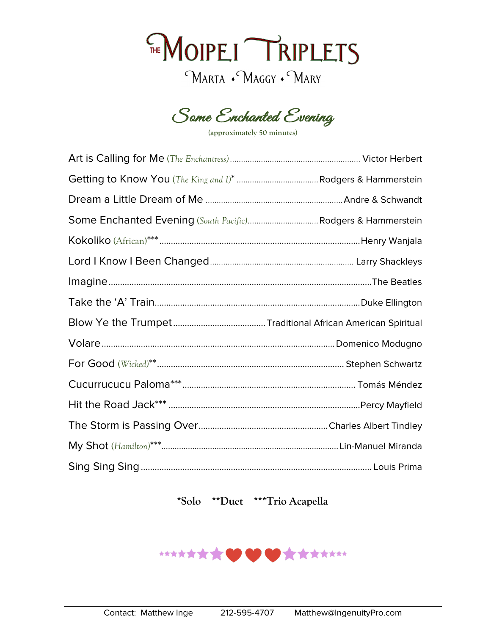



**(approximately 50 minutes)**

## **\*Solo \*\*Duet \*\*\*Trio Acapella**